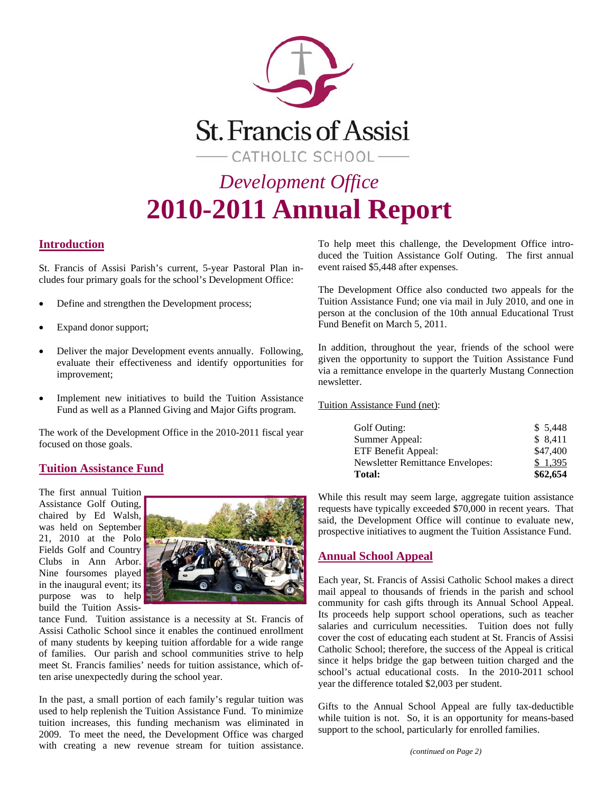

### **Introduction**

St. Francis of Assisi Parish's current, 5-year Pastoral Plan includes four primary goals for the school's Development Office:

- Define and strengthen the Development process;
- Expand donor support;
- Deliver the major Development events annually. Following, evaluate their effectiveness and identify opportunities for improvement;
- Implement new initiatives to build the Tuition Assistance Fund as well as a Planned Giving and Major Gifts program.

The work of the Development Office in the 2010-2011 fiscal year focused on those goals.

### **Tuition Assistance Fund**

The first annual Tuition Assistance Golf Outing, chaired by Ed Walsh, was held on September 21, 2010 at the Polo Fields Golf and Country Clubs in Ann Arbor. Nine foursomes played in the inaugural event; its purpose was to help build the Tuition Assis-



tance Fund. Tuition assistance is a necessity at St. Francis of Assisi Catholic School since it enables the continued enrollment of many students by keeping tuition affordable for a wide range of families. Our parish and school communities strive to help meet St. Francis families' needs for tuition assistance, which often arise unexpectedly during the school year.

In the past, a small portion of each family's regular tuition was used to help replenish the Tuition Assistance Fund. To minimize tuition increases, this funding mechanism was eliminated in 2009. To meet the need, the Development Office was charged with creating a new revenue stream for tuition assistance. To help meet this challenge, the Development Office introduced the Tuition Assistance Golf Outing. The first annual event raised \$5,448 after expenses.

The Development Office also conducted two appeals for the Tuition Assistance Fund; one via mail in July 2010, and one in person at the conclusion of the 10th annual Educational Trust Fund Benefit on March 5, 2011.

In addition, throughout the year, friends of the school were given the opportunity to support the Tuition Assistance Fund via a remittance envelope in the quarterly Mustang Connection newsletter.

Tuition Assistance Fund (net):

| <b>Total:</b>                           | \$62,654 |
|-----------------------------------------|----------|
| <b>Newsletter Remittance Envelopes:</b> | \$1.395  |
| ETF Benefit Appeal:                     | \$47,400 |
| Summer Appeal:                          | \$8,411  |
| Golf Outing:                            | \$5,448  |

While this result may seem large, aggregate tuition assistance requests have typically exceeded \$70,000 in recent years. That said, the Development Office will continue to evaluate new, prospective initiatives to augment the Tuition Assistance Fund.

### **Annual School Appeal**

Each year, St. Francis of Assisi Catholic School makes a direct mail appeal to thousands of friends in the parish and school community for cash gifts through its Annual School Appeal. Its proceeds help support school operations, such as teacher salaries and curriculum necessities. Tuition does not fully cover the cost of educating each student at St. Francis of Assisi Catholic School; therefore, the success of the Appeal is critical since it helps bridge the gap between tuition charged and the school's actual educational costs. In the 2010-2011 school year the difference totaled \$2,003 per student.

Gifts to the Annual School Appeal are fully tax-deductible while tuition is not. So, it is an opportunity for means-based support to the school, particularly for enrolled families.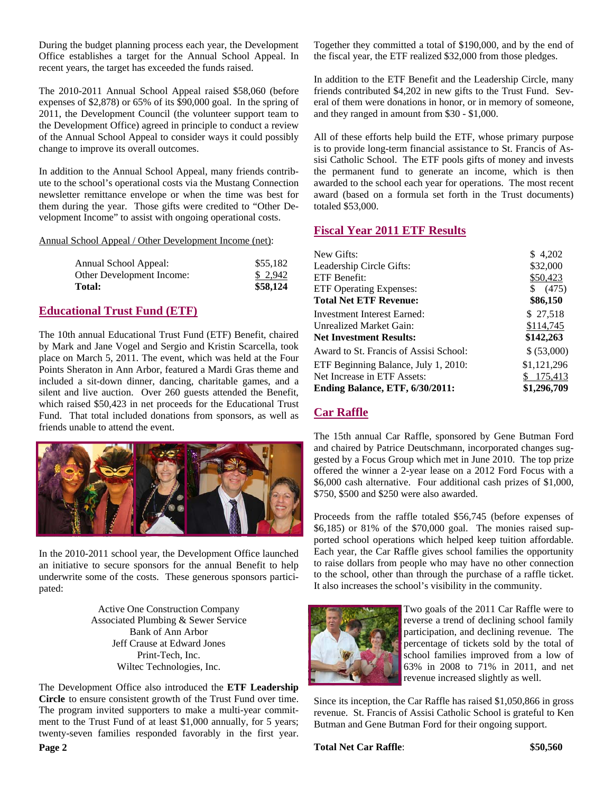During the budget planning process each year, the Development Office establishes a target for the Annual School Appeal. In recent years, the target has exceeded the funds raised.

The 2010-2011 Annual School Appeal raised \$58,060 (before expenses of \$2,878) or 65% of its \$90,000 goal. In the spring of 2011, the Development Council (the volunteer support team to the Development Office) agreed in principle to conduct a review of the Annual School Appeal to consider ways it could possibly change to improve its overall outcomes.

In addition to the Annual School Appeal, many friends contribute to the school's operational costs via the Mustang Connection newsletter remittance envelope or when the time was best for them during the year. Those gifts were credited to "Other Development Income" to assist with ongoing operational costs.

Annual School Appeal / Other Development Income (net):

| Annual School Appeal:     | \$55,182 |
|---------------------------|----------|
| Other Development Income: | \$ 2.942 |
| <b>Total:</b>             | \$58,124 |

### **Educational Trust Fund (ETF)**

The 10th annual Educational Trust Fund (ETF) Benefit, chaired by Mark and Jane Vogel and Sergio and Kristin Scarcella, took place on March 5, 2011. The event, which was held at the Four Points Sheraton in Ann Arbor, featured a Mardi Gras theme and included a sit-down dinner, dancing, charitable games, and a silent and live auction. Over 260 guests attended the Benefit, which raised \$50,423 in net proceeds for the Educational Trust Fund. That total included donations from sponsors, as well as friends unable to attend the event.



In the 2010-2011 school year, the Development Office launched an initiative to secure sponsors for the annual Benefit to help underwrite some of the costs. These generous sponsors participated:

> Active One Construction Company Associated Plumbing & Sewer Service Bank of Ann Arbor Jeff Crause at Edward Jones Print-Tech, Inc. Wiltec Technologies, Inc.

The Development Office also introduced the **ETF Leadership Circle** to ensure consistent growth of the Trust Fund over time. The program invited supporters to make a multi-year commitment to the Trust Fund of at least \$1,000 annually, for 5 years; twenty-seven families responded favorably in the first year.

Together they committed a total of \$190,000, and by the end of the fiscal year, the ETF realized \$32,000 from those pledges.

In addition to the ETF Benefit and the Leadership Circle, many friends contributed \$4,202 in new gifts to the Trust Fund. Several of them were donations in honor, or in memory of someone, and they ranged in amount from \$30 - \$1,000.

All of these efforts help build the ETF, whose primary purpose is to provide long-term financial assistance to St. Francis of Assisi Catholic School. The ETF pools gifts of money and invests the permanent fund to generate an income, which is then awarded to the school each year for operations. The most recent award (based on a formula set forth in the Trust documents) totaled \$53,000.

### **Fiscal Year 2011 ETF Results**

| New Gifts:                             | \$4,202     |
|----------------------------------------|-------------|
| Leadership Circle Gifts:               | \$32,000    |
| ETF Benefit:                           | \$50,423    |
| <b>ETF Operating Expenses:</b>         | \$ (475)    |
| <b>Total Net ETF Revenue:</b>          | \$86,150    |
| Investment Interest Earned:            | \$27,518    |
| Unrealized Market Gain:                | \$114,745   |
| <b>Net Investment Results:</b>         | \$142,263   |
| Award to St. Francis of Assisi School: | \$ (53,000) |
| ETF Beginning Balance, July 1, 2010:   | \$1,121,296 |
| Net Increase in ETF Assets:            | \$ 175,413  |
| Ending Balance, ETF, 6/30/2011:        | \$1,296,709 |

## **Car Raffle**

The 15th annual Car Raffle, sponsored by Gene Butman Ford and chaired by Patrice Deutschmann, incorporated changes suggested by a Focus Group which met in June 2010. The top prize offered the winner a 2-year lease on a 2012 Ford Focus with a \$6,000 cash alternative. Four additional cash prizes of \$1,000, \$750, \$500 and \$250 were also awarded.

Proceeds from the raffle totaled \$56,745 (before expenses of \$6,185) or 81% of the \$70,000 goal. The monies raised supported school operations which helped keep tuition affordable. Each year, the Car Raffle gives school families the opportunity to raise dollars from people who may have no other connection to the school, other than through the purchase of a raffle ticket. It also increases the school's visibility in the community.



Two goals of the 2011 Car Raffle were to reverse a trend of declining school family participation, and declining revenue. The percentage of tickets sold by the total of school families improved from a low of 63% in 2008 to 71% in 2011, and net revenue increased slightly as well.

Since its inception, the Car Raffle has raised \$1,050,866 in gross revenue. St. Francis of Assisi Catholic School is grateful to Ken Butman and Gene Butman Ford for their ongoing support.

### **Total Net Car Raffle**: **\$50,560**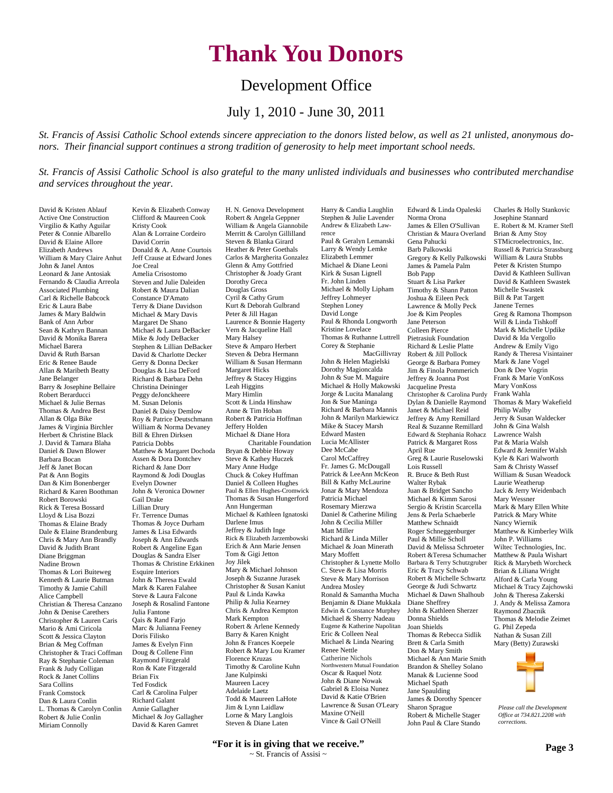# **Thank You Donors**

# Development Office

# July 1, 2010 - June 30, 2011

*St. Francis of Assisi Catholic School extends sincere appreciation to the donors listed below, as well as 21 unlisted, anonymous donors. Their financial support continues a strong tradition of generosity to help meet important school needs.* 

*St. Francis of Assisi Catholic School is also grateful to the many unlisted individuals and businesses who contributed merchandise and services throughout the year.*

Harry & Candia Laughlin

David & Kristen Ablauf Active One Construction Virgilio & Kathy Aguilar Peter & Connie Albarello David & Elaine Allore Elizabeth Andrews William & Mary Claire Anhut John & Janel Antos Leonard & Jane Antosiak Fernando & Claudia Arreola Associated Plumbing Carl & Richelle Babcock Eric & Laura Babe James & Mary Baldwin Bank of Ann Arbor Sean & Kathryn Bannan David & Monika Barera Michael Barera David & Ruth Barsan Eric & Renee Baude Allan & Maribeth Beatty Jane Belanger Barry & Josephine Bellaire Robert Berarducci Michael & Julie Bernas Thomas & Andrea Best Allan & Olga Bike James & Virginia Birchler Herbert & Christine Black J. David & Tamara Blaha Daniel & Dawn Blower Barbara Bocan Jeff & Janet Bocan Pat & Ann Bogits Dan & Kim Bonenberger Richard & Karen Boothman Robert Borowski Rick & Teresa Bossard Lloyd & Lisa Bozzi Thomas & Elaine Brady Dale & Elaine Brandenburg Chris & Mary Ann Brandly David & Judith Brant Diane Briggman Nadine Brown Thomas & Lori Buiteweg Kenneth & Laurie Butman Timothy & Jamie Cahill Alice Campbell Christian & Theresa Canzano John & Denise Carethers Christopher & Lauren Caris Mario & Ami Ciricola Scott & Jessica Clayton Brian & Meg Coffman Christopher & Traci Coffman Ray & Stephanie Coleman Frank & Judy Colligan Rock & Janet Collins Sara Collins Frank Comstock Dan & Laura Conlin L. Thomas & Carolyn Conlin Robert & Julie Conlin Miriam Connolly

Kevin & Elizabeth Conway Clifford & Maureen Cook Kristy Cook Alan & Lorraine Cordeiro David Corrin Donald & A. Anne Courtois Jeff Crause at Edward Jones Joe Creal Amelia Crisostomo Steven and Julie Daleiden Robert & Maura Dalian Constance D'Amato Terry & Diane Davidson Michael & Mary Davis Margaret De Shano Michael & Laura DeBacker Mike & Jody DeBacker Stephen & Lillian DeBacker David & Charlotte Decker Gerry & Donna Decker Douglas & Lisa DeFord Richard & Barbara Dehn Christina Deininger Peggy deJonckheere M. Susan Delonis Daniel & Daisy Demlow Roy & Patrice Deutschmann William & Norma Devaney Bill & Ehren Dirksen Patricia Dobbs Matthew & Margaret Dochoda Assen & Dora Dontchev Richard & Jane Dorr Raymond & Jodi Douglas Evelyn Downer John & Veronica Downer Gail Drake Lillian Drury Fr. Terrence Dumas Thomas & Joyce Durham James & Lisa Edwards Joseph & Ann Edwards Robert & Angeline Egan Douglas & Sandra Elser Thomas & Christine Erkkinen Esquire Interiors John & Theresa Ewald Mark & Karen Falahee Steve & Laura Falcone Joseph & Rosalind Fantone Julia Fantone Qais & Rand Farjo Marc & Julianna Feeney Doris Filisko James & Evelyn Finn Doug & Collene Finn Raymond Fitzgerald Ron & Kate Fitzgerald Brian Fix Ted Fosdick Carl & Carolina Fulper Richard Galant Annie Gallagher Michael & Joy Gallagher David & Karen Gamret

H. N. Genova Development Robert & Angela Geppner William & Angela Giannobile Merritt & Carolyn Gillilland Steven & Blanka Girard Heather & Peter Goethals Carlos & Margherita Gonzalez Glenn & Amy Gottfried Christopher & Joady Grant Dorothy Greca Douglas Gross Cyril & Cathy Grum Kurt & Deborah Gulbrand Peter & Jill Hagan Laurence & Bonnie Hagerty Vern & Jacqueline Hall Mary Halsey Steve & Amparo Herbert Steven & Debra Hermann William & Susan Hermann Margaret Hicks Jeffrey & Stacey Higgins Leah Higgins Mary Himlin Scott & Linda Hinshaw Anne & Tim Hoban Robert & Patricia Hoffman Jeffery Holden Michael & Diane Hora Charitable Foundation Bryan & Debbie Howay Steve & Kathey Huczek Mary Anne Hudge Chuck & Cokey Huffman Daniel & Colleen Hughes Paul & Ellen Hughes-Cromwick Thomas & Susan Hungerford Ann Hungerman Michael & Kathleen Ignatoski Darlene Imus Jeffrey & Judith Inge Rick & Elizabeth Jarzembowski Erich & Ann Marie Jensen Tom & Gigi Jetton Joy Jilek Mary & Michael Johnson Joseph & Suzanne Jurasek Christopher & Susan Kaniut Paul & Linda Kawka Philip & Julia Kearney Chris & Andrea Kempton Mark Kempton Robert & Arlene Kennedy Barry & Karen Knight John & Frances Koepele Robert & Mary Lou Kramer Florence Kruzas Timothy & Caroline Kuhn Jane Kulpinski Maureen Lacey Adelaide Laetz Todd & Maureen LaHote Jim & Lynn Laidlaw Lorne & Mary Langlois Steven & Diane Laten

Stephen & Julie Lavender Andrew & Elizabeth Lawrence Paul & Geralyn Lemanski Larry & Wendy Lemke Elizabeth Lemmer Michael & Diane Leoni Kirk & Susan Lignell Fr. John Linden Michael & Molly Lipham Jeffrey Lohmeyer Stephen Loney David Longe Paul & Rhonda Longworth Kristine Lovelace Thomas & Ruthanne Luttrell Corey & Stephanie MacGillivray John & Helen Magielski Dorothy Magioncalda John & Sue M. Maguire Michael & Holly Makowski Jorge & Lucita Manalang Jon & Sue Maninga Richard & Barbara Mannis John & Marilyn Markiewicz Mike & Stacey Marsh Edward Masten Lucia McAllister Dee McCabe Carol McCaffrey Fr. James G. McDougall Patrick & LeeAnn McKeon Bill & Kathy McLaurine Jonar & Mary Mendoza Patricia Michael Rosemary Mierzwa Daniel & Catherine Miling John & Cecilia Miller Matt Miller Richard & Linda Miller Michael & Joan Minerath Mary Moffett Christopher & Lynette Mollo C. Steve & Lisa Morris Steve & Mary Morrison Andrea Mosley Ronald & Samantha Mucha Benjamin & Diane Mukkala Edwin & Constance Murphey Michael & Sherry Nadeau Eugene & Katherine Napolitan Eric & Colleen Neal Michael & Linda Nearing Renee Nettle Catherine Nichols Northwestern Mutual Foundation Oscar & Raquel Notz John & Diane Nowak Gabriel & Eloisa Nunez David & Katie O'Brien Lawrence & Susan O'Leary Maxine O'Neill Vince & Gail O'Neill

Norma Orona James & Ellen O'Sullivan Christian & Maura Overland Gena Pahucki Barb Palkowski Gregory & Kelly Palkowski James & Pamela Palm Bob Papp Stuart & Lisa Parker Timothy & Shann Patton Joshua & Eileen Peck Lawrence & Molly Peck Joe & Kim Peoples Jane Peterson Colleen Pierce Pietrasiuk Foundation Richard & Leslie Platte Robert & Jill Pollock George & Barbara Pomey Jim & Finola Pommerich Jeffrey & Joanna Post Jacqueline Presta Christopher & Carolina Purdy Dylan & Danielle Raymond Janet & Michael Reid Jeffrey & Amy Remillard Real & Suzanne Remillard Edward & Stephania Rohacz Patrick & Margaret Ross April Rue Greg & Laurie Ruselowski Lois Russell R. Bruce & Beth Rust Walter Rybak Juan & Bridget Sancho Michael & Kimm Sarosi Sergio & Kristin Scarcella Jens & Perla Schaeberle Matthew Schnaidt Roger Schneggenburger Paul & Millie Scholl David & Melissa Schroeter Robert &Teresa Schumacher Barbara & Terry Schutzgruber Eric & Tracy Schwab Robert & Michelle Schwartz George & Judi Schwartz Michael & Dawn Shalhoub Diane Sheffrey John & Kathleen Sherzer Donna Shields Joan Shields Thomas & Rebecca Sidlik Brett & Carla Smith Don & Mary Smith Michael & Ann Marie Smith Brandon & Shelley Solano Manak & Lucienne Sood Michael Spath Jane Spaulding James & Dorothy Spencer Sharon Sprague Robert & Michelle Stager John Paul & Clare Stando

Edward & Linda Opaleski

Josephine Stannard E. Robert & M. Kramer Stefl Brian & Amy Stoy STMicroelectronics, Inc. Russell & Patricia Strassburg William & Laura Stubbs Peter & Kristen Stumpo David & Kathleen Sullivan David & Kathleen Swastek Michelle Swastek Bill & Pat Targett Janene Ternes Greg & Ramona Thompson Will & Linda Tishkoff Mark & Michelle Updike David & Ida Vergollo Andrew & Emily Vigo Randy & Theresa Visintainer Mark & Jane Vogel Don & Dee Vogrin Frank & Marie VonKoss Mary VonKoss Frank Wahla Thomas & Mary Wakefield Philip Walby Jerry & Susan Waldecker John & Gina Walsh Lawrence Walsh Pat & Maria Walsh Edward & Jennifer Walsh Kyle & Kari Walworth Sam & Christy Wassef William & Susan Weadock Laurie Weatherup Jack & Jerry Weidenbach Mary Wessner Mark & Mary Ellen White Patrick & Mary White Nancy Wiernik Matthew & Kimberley Wilk John P. Williams Wiltec Technologies, Inc. Matthew & Paula Wishart Rick & Marybeth Worcheck Brian & Liliana Wright Alford & Carla Young Michael & Tracy Zajchowski John & Theresa Zakerski J. Andy & Melissa Zamora Raymond Zbacnik Thomas & Melodie Zeimet G. Phil Zepeda Nathan & Susan Zill Mary (Betty) Zurawski

Charles & Holly Stankovic



*Please call the Development Office at 734.821.2208 with corrections.*